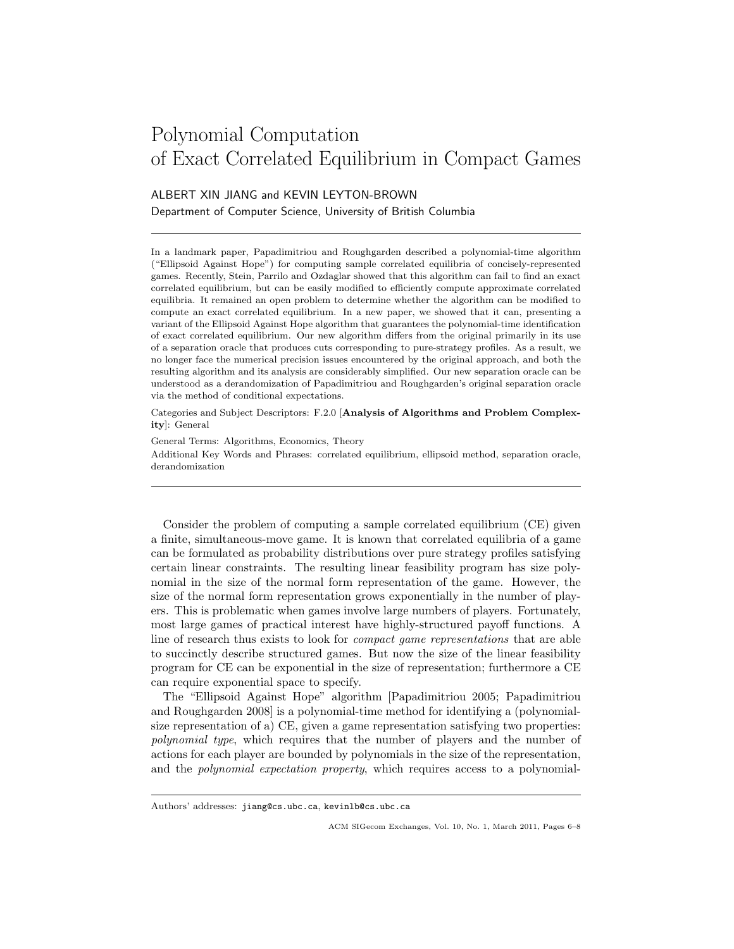## Polynomial Computation of Exact Correlated Equilibrium in Compact Games

## ALBERT XIN JIANG and KEVIN LEYTON-BROWN

Department of Computer Science, University of British Columbia

In a landmark paper, Papadimitriou and Roughgarden described a polynomial-time algorithm ("Ellipsoid Against Hope") for computing sample correlated equilibria of concisely-represented games. Recently, Stein, Parrilo and Ozdaglar showed that this algorithm can fail to find an exact correlated equilibrium, but can be easily modified to efficiently compute approximate correlated equilibria. It remained an open problem to determine whether the algorithm can be modified to compute an exact correlated equilibrium. In a new paper, we showed that it can, presenting a variant of the Ellipsoid Against Hope algorithm that guarantees the polynomial-time identification of exact correlated equilibrium. Our new algorithm differs from the original primarily in its use of a separation oracle that produces cuts corresponding to pure-strategy profiles. As a result, we no longer face the numerical precision issues encountered by the original approach, and both the resulting algorithm and its analysis are considerably simplified. Our new separation oracle can be understood as a derandomization of Papadimitriou and Roughgarden's original separation oracle via the method of conditional expectations.

Categories and Subject Descriptors: F.2.0 [Analysis of Algorithms and Problem Complexity]: General

General Terms: Algorithms, Economics, Theory Additional Key Words and Phrases: correlated equilibrium, ellipsoid method, separation oracle, derandomization

Consider the problem of computing a sample correlated equilibrium (CE) given a finite, simultaneous-move game. It is known that correlated equilibria of a game can be formulated as probability distributions over pure strategy profiles satisfying certain linear constraints. The resulting linear feasibility program has size polynomial in the size of the normal form representation of the game. However, the size of the normal form representation grows exponentially in the number of players. This is problematic when games involve large numbers of players. Fortunately, most large games of practical interest have highly-structured payoff functions. A line of research thus exists to look for compact game representations that are able to succinctly describe structured games. But now the size of the linear feasibility program for CE can be exponential in the size of representation; furthermore a CE can require exponential space to specify.

The "Ellipsoid Against Hope" algorithm [Papadimitriou 2005; Papadimitriou and Roughgarden 2008] is a polynomial-time method for identifying a (polynomialsize representation of a) CE, given a game representation satisfying two properties: polynomial type, which requires that the number of players and the number of actions for each player are bounded by polynomials in the size of the representation, and the polynomial expectation property, which requires access to a polynomial-

Authors' addresses: jiang@cs.ubc.ca, kevinlb@cs.ubc.ca

ACM SIGecom Exchanges, Vol. 10, No. 1, March 2011, Pages 6–8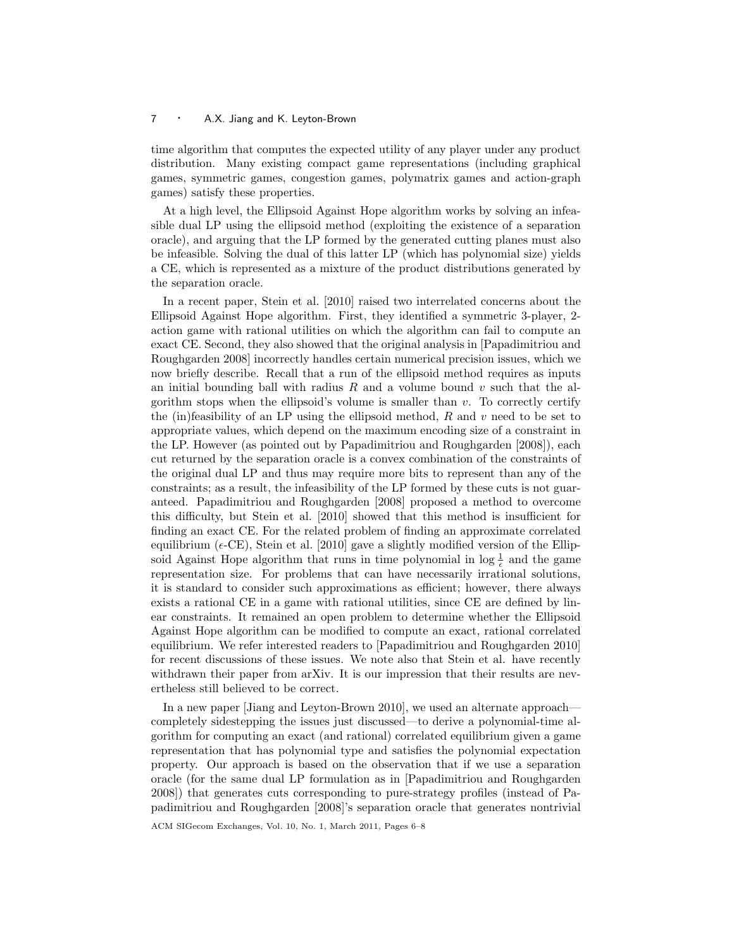## 7 **· A.X. Jiang and K. Leyton-Brown**

time algorithm that computes the expected utility of any player under any product distribution. Many existing compact game representations (including graphical games, symmetric games, congestion games, polymatrix games and action-graph games) satisfy these properties.

At a high level, the Ellipsoid Against Hope algorithm works by solving an infeasible dual LP using the ellipsoid method (exploiting the existence of a separation oracle), and arguing that the LP formed by the generated cutting planes must also be infeasible. Solving the dual of this latter LP (which has polynomial size) yields a CE, which is represented as a mixture of the product distributions generated by the separation oracle.

In a recent paper, Stein et al. [2010] raised two interrelated concerns about the Ellipsoid Against Hope algorithm. First, they identified a symmetric 3-player, 2 action game with rational utilities on which the algorithm can fail to compute an exact CE. Second, they also showed that the original analysis in [Papadimitriou and Roughgarden 2008] incorrectly handles certain numerical precision issues, which we now briefly describe. Recall that a run of the ellipsoid method requires as inputs an initial bounding ball with radius  $R$  and a volume bound  $v$  such that the algorithm stops when the ellipsoid's volume is smaller than  $v$ . To correctly certify the (in)feasibility of an LP using the ellipsoid method,  $R$  and  $v$  need to be set to appropriate values, which depend on the maximum encoding size of a constraint in the LP. However (as pointed out by Papadimitriou and Roughgarden [2008]), each cut returned by the separation oracle is a convex combination of the constraints of the original dual LP and thus may require more bits to represent than any of the constraints; as a result, the infeasibility of the LP formed by these cuts is not guaranteed. Papadimitriou and Roughgarden [2008] proposed a method to overcome this difficulty, but Stein et al. [2010] showed that this method is insufficient for finding an exact CE. For the related problem of finding an approximate correlated equilibrium ( $\epsilon$ -CE), Stein et al. [2010] gave a slightly modified version of the Ellipsoid Against Hope algorithm that runs in time polynomial in  $\log \frac{1}{\epsilon}$  and the game representation size. For problems that can have necessarily irrational solutions, it is standard to consider such approximations as efficient; however, there always exists a rational CE in a game with rational utilities, since CE are defined by linear constraints. It remained an open problem to determine whether the Ellipsoid Against Hope algorithm can be modified to compute an exact, rational correlated equilibrium. We refer interested readers to [Papadimitriou and Roughgarden 2010] for recent discussions of these issues. We note also that Stein et al. have recently withdrawn their paper from arXiv. It is our impression that their results are nevertheless still believed to be correct.

In a new paper [Jiang and Leyton-Brown 2010], we used an alternate approachcompletely sidestepping the issues just discussed—to derive a polynomial-time algorithm for computing an exact (and rational) correlated equilibrium given a game representation that has polynomial type and satisfies the polynomial expectation property. Our approach is based on the observation that if we use a separation oracle (for the same dual LP formulation as in [Papadimitriou and Roughgarden 2008]) that generates cuts corresponding to pure-strategy profiles (instead of Papadimitriou and Roughgarden [2008]'s separation oracle that generates nontrivial

ACM SIGecom Exchanges, Vol. 10, No. 1, March 2011, Pages 6–8